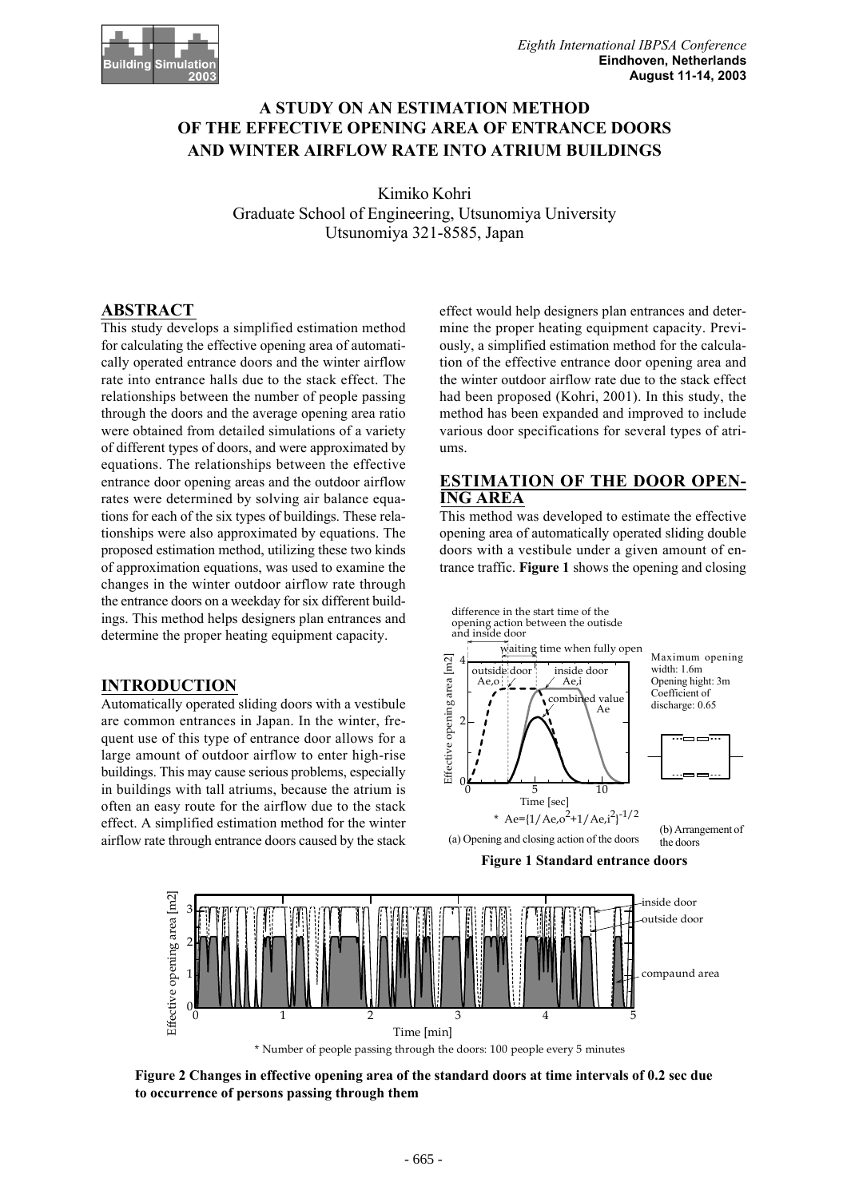

# **A STUDY ON AN ESTIMATION METHOD OF THE EFFECTIVE OPENING AREA OF ENTRANCE DOORS AND WINTER AIRFLOW RATE INTO ATRIUM BUILDINGS**

Kimiko Kohri Graduate School of Engineering, Utsunomiya University Utsunomiya 321-8585, Japan

# **ABSTRACT**

This study develops a simplified estimation method for calculating the effective opening area of automatically operated entrance doors and the winter airflow rate into entrance halls due to the stack effect. The relationships between the number of people passing through the doors and the average opening area ratio were obtained from detailed simulations of a variety of different types of doors, and were approximated by equations. The relationships between the effective entrance door opening areas and the outdoor airflow rates were determined by solving air balance equations for each of the six types of buildings. These relationships were also approximated by equations. The proposed estimation method, utilizing these two kinds of approximation equations, was used to examine the changes in the winter outdoor airflow rate through the entrance doors on a weekday for six different buildings. This method helps designers plan entrances and determine the proper heating equipment capacity.

#### **INTRODUCTION**

Automatically operated sliding doors with a vestibule are common entrances in Japan. In the winter, frequent use of this type of entrance door allows for a large amount of outdoor airflow to enter high-rise buildings. This may cause serious problems, especially in buildings with tall atriums, because the atrium is often an easy route for the airflow due to the stack effect. A simplified estimation method for the winter airflow rate through entrance doors caused by the stack effect would help designers plan entrances and determine the proper heating equipment capacity. Previously, a simplified estimation method for the calculation of the effective entrance door opening area and the winter outdoor airflow rate due to the stack effect had been proposed (Kohri, 2001). In this study, the method has been expanded and improved to include various door specifications for several types of atriums.

# **ESTIMATION OF THE DOOR OPEN-ING AREA**

This method was developed to estimate the effective opening area of automatically operated sliding double doors with a vestibule under a given amount of entrance traffic. **Figure 1** shows the opening and closing



**Figure 1 Standard entrance doors**



**Figure 2 Changes in effective opening area of the standard doors at time intervals of 0.2 sec due to occurrence of persons passing through them**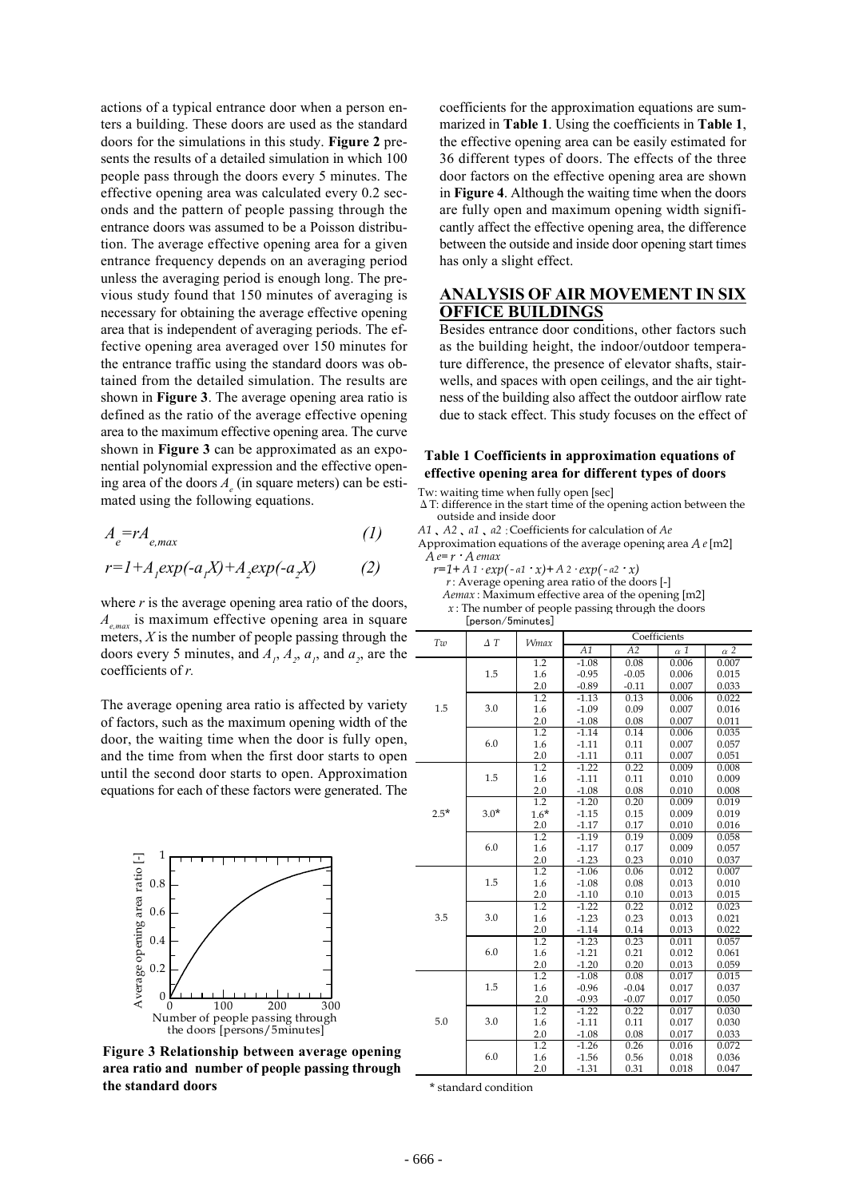actions of a typical entrance door when a person enters a building. These doors are used as the standard doors for the simulations in this study. **Figure 2** presents the results of a detailed simulation in which 100 people pass through the doors every 5 minutes. The effective opening area was calculated every 0.2 seconds and the pattern of people passing through the entrance doors was assumed to be a Poisson distribution. The average effective opening area for a given entrance frequency depends on an averaging period unless the averaging period is enough long. The previous study found that 150 minutes of averaging is necessary for obtaining the average effective opening area that is independent of averaging periods. The effective opening area averaged over 150 minutes for the entrance traffic using the standard doors was obtained from the detailed simulation. The results are shown in **Figure 3**. The average opening area ratio is defined as the ratio of the average effective opening area to the maximum effective opening area. The curve shown in **Figure 3** can be approximated as an exponential polynomial expression and the effective opening area of the doors  $A_e$  (in square meters) can be estimated using the following equations.

$$
A_e = rA_{e,max} \tag{1}
$$

$$
r=I+A_1exp(-a_1X)+A_2exp(-a_2X)
$$
 (2)

where *r* is the average opening area ratio of the doors, *A<sub>emax</sub>* is maximum effective opening area in square meters,  $X$  is the number of people passing through the doors every 5 minutes, and  $A_1$ ,  $A_2$ ,  $a_1$ , and  $a_2$ , are the coefficients of *r.*

The average opening area ratio is affected by variety of factors, such as the maximum opening width of the door, the waiting time when the door is fully open, and the time from when the first door starts to open until the second door starts to open. Approximation equations for each of these factors were generated. The



**Figure 3 Relationship between average opening area ratio and number of people passing through the standard doors**

coefficients for the approximation equations are summarized in **Table 1**. Using the coefficients in **Table 1**, the effective opening area can be easily estimated for 36 different types of doors. The effects of the three door factors on the effective opening area are shown in **Figure 4**. Although the waiting time when the doors are fully open and maximum opening width significantly affect the effective opening area, the difference between the outside and inside door opening start times has only a slight effect.

### **ANALYSIS OF AIR MOVEMENT IN SIX OFFICE BUILDINGS**

Besides entrance door conditions, other factors such as the building height, the indoor/outdoor temperature difference, the presence of elevator shafts, stairwells, and spaces with open ceilings, and the air tightness of the building also affect the outdoor airflow rate due to stack effect. This study focuses on the effect of

#### **Table 1 Coefficients in approximation equations of effective opening area for different types of doors**

Tw: waiting time when fully open [sec]

ΔT: difference in the start time of the opening action between the outside and inside door

*A1* 、 *A2* 、*α1* 、*α2* :Coefficients for calculation of *Ae*

Approximation equations of the average opening area *A e*[m2]

*A e= r* ・ *A emax*  $r=1+A_1 \cdot exp(-a_1 \cdot x) + A_2 \cdot exp(-a_2 \cdot x)$ 

*r*: Average opening area ratio of the doors [-]

*Aemax* : Maximum effective area of the opening [m2]

*x* : The number of people passing through the doors

[person/5minutes]

| Tw     | $\Delta T$ | <b>Wmax</b>      | Coefficients |         |            |            |  |
|--------|------------|------------------|--------------|---------|------------|------------|--|
|        |            |                  | A1           | A2      | $\alpha$ 1 | $\alpha$ 2 |  |
| 1.5    |            | 1.2              | $-1.08$      | 0.08    | 0.006      | 0.007      |  |
|        | 1.5        | 1.6              | $-0.95$      | $-0.05$ | 0.006      | 0.015      |  |
|        |            | 2.0              | $-0.89$      | $-0.11$ | 0.007      | 0.033      |  |
|        |            | 1.2              | $-1.13$      | 0.13    | 0.006      | 0.022      |  |
|        | 3.0        | 1.6              | $-1.09$      | 0.09    | 0.007      | 0.016      |  |
|        |            | 2.0              | $-1.08$      | 0.08    | 0.007      | 0.011      |  |
|        |            | 1.2              | $-1.14$      | 0.14    | 0.006      | 0.035      |  |
|        | 6.0        | 1.6              | $-1.11$      | 0.11    | 0.007      | 0.057      |  |
|        |            | 2.0              | $-1.11$      | 0.11    | 0.007      | 0.051      |  |
|        |            | 1.2              | $-1.22$      | 0.22    | 0.009      | 0.008      |  |
|        | 1.5        | 1.6              | $-1.11$      | 0.11    | 0.010      | 0.009      |  |
|        |            | 2.0              | $-1.08$      | 0.08    | 0.010      | 0.008      |  |
|        |            | 1.2              | $-1.20$      | 0.20    | 0.009      | 0.019      |  |
| $2.5*$ | $3.0*$     | $1.6*$           | $-1.15$      | 0.15    | 0.009      | 0.019      |  |
|        |            | 2.0              | $-1.17$      | 0.17    | 0.010      | 0.016      |  |
|        | 6.0        | 1.2              | $-1.19$      | 0.19    | 0.009      | 0.058      |  |
|        |            | 1.6              | $-1.17$      | 0.17    | 0.009      | 0.057      |  |
|        |            | 2.0              | $-1.23$      | 0.23    | 0.010      | 0.037      |  |
| 3.5    |            | 1.2              | $-1.06$      | 0.06    | 0.012      | 0.007      |  |
|        | 1.5        | 1.6              | $-1.08$      | 0.08    | 0.013      | 0.010      |  |
|        |            | 2.0              | $-1.10$      | 0.10    | 0.013      | 0.015      |  |
|        | 3.0        | 1.2              | $-1.22$      | 0.22    | 0.012      | 0.023      |  |
|        |            | 1.6              | $-1.23$      | 0.23    | 0.013      | 0.021      |  |
|        |            | 2.0              | $-1.14$      | 0.14    | 0.013      | 0.022      |  |
|        |            | 1.2              | $-1.23$      | 0.23    | 0.011      | 0.057      |  |
|        | 6.0        | 1.6              | $-1.21$      | 0.21    | 0.012      | 0.061      |  |
|        |            | 2.0              | $-1.20$      | 0.20    | 0.013      | 0.059      |  |
|        |            | 1.2              | $-1.08$      | 0.08    | 0.017      | 0.015      |  |
|        | 1.5        | 1.6              | $-0.96$      | $-0.04$ | 0.017      | 0.037      |  |
|        |            | 2.0              | $-0.93$      | $-0.07$ | 0.017      | 0.050      |  |
| 5.0    |            | 1.2              | $-1.22$      | 0.22    | 0.017      | 0.030      |  |
|        | 3.0        | 1.6              | $-1.11$      | 0.11    | 0.017      | 0.030      |  |
|        |            | 2.0              | $-1.08$      | 0.08    | 0.017      | 0.033      |  |
|        | 6.0        | $\overline{1.2}$ | $-1.26$      | 0.26    | 0.016      | 0.072      |  |
|        |            | 1.6              | $-1.56$      | 0.56    | 0.018      | 0.036      |  |
|        |            | 2.0              | $-1.31$      | 0.31    | 0.018      | 0.047      |  |

\* standard condition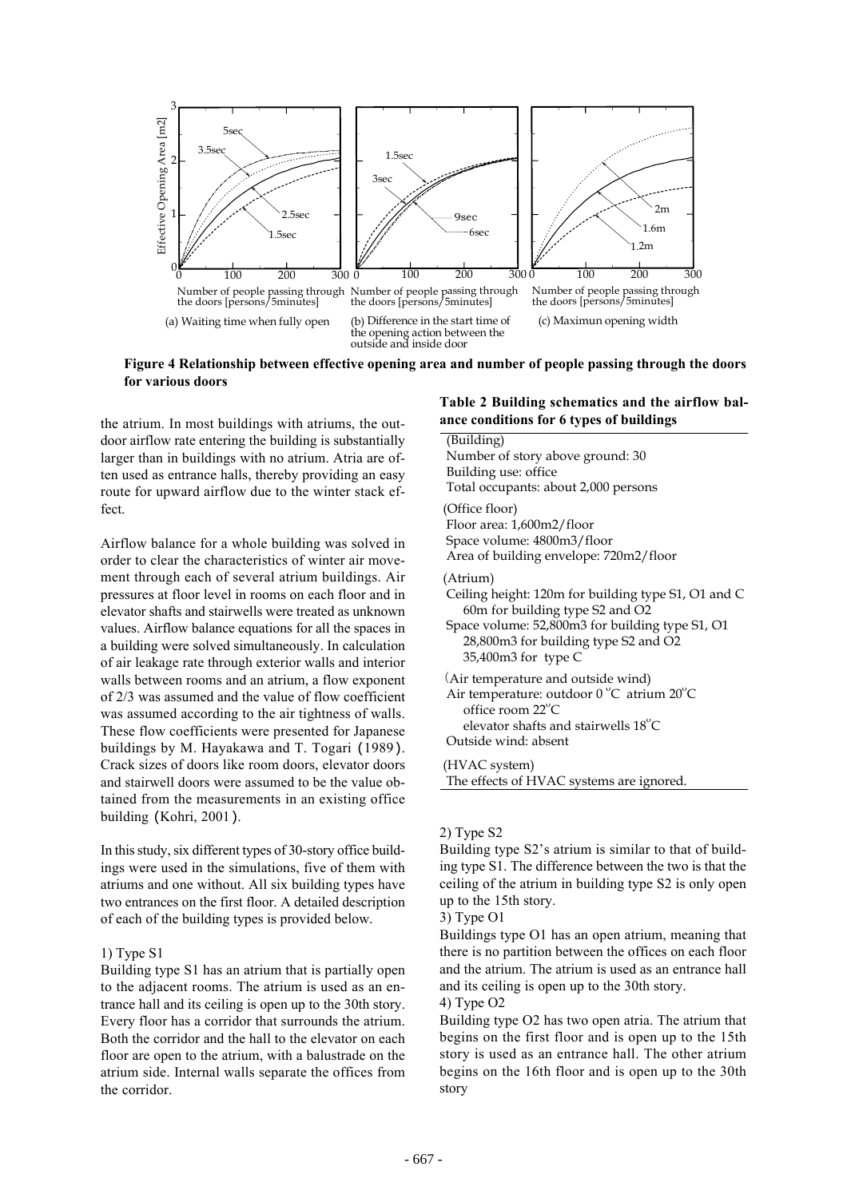

**Figure 4 Relationship between effective opening area and number of people passing through the doors for various doors**

the atrium. In most buildings with atriums, the outdoor airflow rate entering the building is substantially larger than in buildings with no atrium. Atria are often used as entrance halls, thereby providing an easy route for upward airflow due to the winter stack effect.

Airflow balance for a whole building was solved in order to clear the characteristics of winter air movement through each of several atrium buildings. Air pressures at floor level in rooms on each floor and in elevator shafts and stairwells were treated as unknown values. Airflow balance equations for all the spaces in a building were solved simultaneously. In calculation of air leakage rate through exterior walls and interior walls between rooms and an atrium, a flow exponent of 2/3 was assumed and the value of flow coefficient was assumed according to the air tightness of walls. These flow coefficients were presented for Japanese buildings by M. Hayakawa and T. Togari (1989). Crack sizes of doors like room doors, elevator doors and stairwell doors were assumed to be the value obtained from the measurements in an existing office building (Kohri, 2001).

In this study, six different types of 30-story office buildings were used in the simulations, five of them with atriums and one without. All six building types have two entrances on the first floor. A detailed description of each of the building types is provided below.

#### 1) Type S1

Building type S1 has an atrium that is partially open to the adjacent rooms. The atrium is used as an entrance hall and its ceiling is open up to the 30th story. Every floor has a corridor that surrounds the atrium. Both the corridor and the hall to the elevator on each floor are open to the atrium, with a balustrade on the atrium side. Internal walls separate the offices from the corridor.

#### **Table 2 Building schematics and the airflow balance conditions for 6 types of buildings**

| (Building)<br>Number of story above ground: 30<br>Building use: office<br>Total occupants: about 2,000 persons                                                                                                       |
|----------------------------------------------------------------------------------------------------------------------------------------------------------------------------------------------------------------------|
| (Office floor)<br>Floor area: 1,600m2/floor<br>Space volume: 4800m3/floor<br>Area of building envelope: 720m2/floor                                                                                                  |
| (Atrium)<br>Ceiling height: 120m for building type S1, O1 and C<br>60m for building type S2 and O2<br>Space volume: 52,800m3 for building type S1, O1<br>28,800m3 for building type S2 and O2<br>35,400m3 for type C |
| (Air temperature and outside wind)<br>Air temperature: outdoor $0^{\circ}$ C atrium $20^{\circ}$ C<br>office room 22°C<br>elevator shafts and stairwells 18°C<br>Outside wind: absent                                |
| (HVAC system)<br>The effects of HVAC systems are ignored.                                                                                                                                                            |

#### 2) Type S2

Building type S2's atrium is similar to that of building type S1. The difference between the two is that the ceiling of the atrium in building type S2 is only open up to the 15th story.

3) Type O1

Buildings type O1 has an open atrium, meaning that there is no partition between the offices on each floor and the atrium. The atrium is used as an entrance hall and its ceiling is open up to the 30th story.

4) Type O2

Building type O2 has two open atria. The atrium that begins on the first floor and is open up to the 15th story is used as an entrance hall. The other atrium begins on the 16th floor and is open up to the 30th story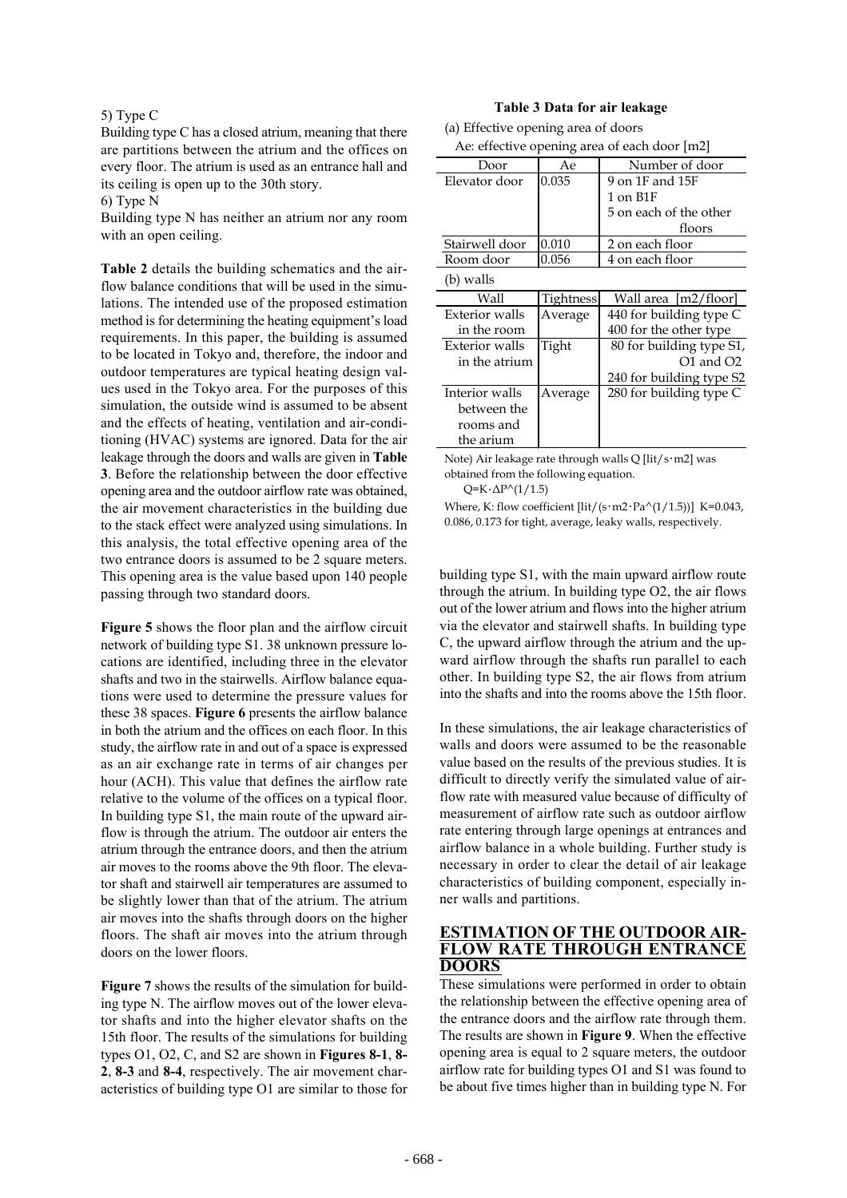#### 5) Type C

Building type C has a closed atrium, meaning that there are partitions between the atrium and the offices on every floor. The atrium is used as an entrance hall and its ceiling is open up to the 30th story.

6) Type N

Building type N has neither an atrium nor any room with an open ceiling.

**Table 2** details the building schematics and the airflow balance conditions that will be used in the simulations. The intended use of the proposed estimation method is for determining the heating equipment's load requirements. In this paper, the building is assumed to be located in Tokyo and, therefore, the indoor and outdoor temperatures are typical heating design values used in the Tokyo area. For the purposes of this simulation, the outside wind is assumed to be absent and the effects of heating, ventilation and air-conditioning (HVAC) systems are ignored. Data for the air leakage through the doors and walls are given in **Table 3**. Before the relationship between the door effective opening area and the outdoor airflow rate was obtained, the air movement characteristics in the building due to the stack effect were analyzed using simulations. In this analysis, the total effective opening area of the two entrance doors is assumed to be 2 square meters. This opening area is the value based upon 140 people passing through two standard doors.

**Figure 5** shows the floor plan and the airflow circuit network of building type S1. 38 unknown pressure locations are identified, including three in the elevator shafts and two in the stairwells. Airflow balance equations were used to determine the pressure values for these 38 spaces. **Figure 6** presents the airflow balance in both the atrium and the offices on each floor. In this study, the airflow rate in and out of a space is expressed as an air exchange rate in terms of air changes per hour (ACH). This value that defines the airflow rate relative to the volume of the offices on a typical floor. In building type S1, the main route of the upward airflow is through the atrium. The outdoor air enters the atrium through the entrance doors, and then the atrium air moves to the rooms above the 9th floor. The elevator shaft and stairwell air temperatures are assumed to be slightly lower than that of the atrium. The atrium air moves into the shafts through doors on the higher floors. The shaft air moves into the atrium through doors on the lower floors.

**Figure 7** shows the results of the simulation for building type N. The airflow moves out of the lower elevator shafts and into the higher elevator shafts on the 15th floor. The results of the simulations for building types O1, O2, C, and S2 are shown in **Figures 8-1**, **8- 2**, **8-3** and **8-4**, respectively. The air movement characteristics of building type O1 are similar to those for

#### **Table 3 Data for air leakage**

| (a) Effective opening area of doors          |  |
|----------------------------------------------|--|
| Ae: effective opening area of each door [m2] |  |

|                       | -0               |                          |
|-----------------------|------------------|--------------------------|
| Door                  | Ae               | Number of door           |
| Elevator door         | 0.035            | 9 on 1F and 15F          |
|                       |                  | 1 on B1F                 |
|                       |                  | 5 on each of the other   |
|                       |                  | floors                   |
| Stairwell door        | 0.010            | 2 on each floor          |
| Room door             | 0.056            | 4 on each floor          |
| (b) walls             |                  |                          |
| Wall                  | <b>Tightness</b> | Wall area [m2/floor]     |
|                       |                  |                          |
| Exterior walls        | Average          | 440 for building type C  |
| in the room           |                  | 400 for the other type   |
| <b>Exterior</b> walls | Tight            | 80 for building type S1, |
| in the atrium         |                  | $O1$ and $O2$            |
|                       |                  | 240 for building type S2 |
| Interior walls        | Average          | 280 for building type C  |
| between the           |                  |                          |
| rooms and             |                  |                          |
| the arium             |                  |                          |

Note) Air leakage rate through walls Q [lit/s・m2] was obtained from the following equation.

 $Q=K\cdot\Delta P^{\wedge}(1/1.5)$ 

Where, K: flow coefficient  $[\text{lit}/(\text{s}\cdot\text{m2}\cdot\text{Pa}/(1/1.5))]$  K=0.043, 0.086, 0.173 for tight, average, leaky walls, respectively.

building type S1, with the main upward airflow route through the atrium. In building type O2, the air flows out of the lower atrium and flows into the higher atrium via the elevator and stairwell shafts. In building type C, the upward airflow through the atrium and the upward airflow through the shafts run parallel to each other. In building type S2, the air flows from atrium into the shafts and into the rooms above the 15th floor.

In these simulations, the air leakage characteristics of walls and doors were assumed to be the reasonable value based on the results of the previous studies. It is difficult to directly verify the simulated value of airflow rate with measured value because of difficulty of measurement of airflow rate such as outdoor airflow rate entering through large openings at entrances and airflow balance in a whole building. Further study is necessary in order to clear the detail of air leakage characteristics of building component, especially inner walls and partitions.

### **ESTIMATION OF THE OUTDOOR AIR-FLOW RATE THROUGH ENTRANCE DOORS**

These simulations were performed in order to obtain the relationship between the effective opening area of the entrance doors and the airflow rate through them. The results are shown in **Figure 9**. When the effective opening area is equal to 2 square meters, the outdoor airflow rate for building types O1 and S1 was found to be about five times higher than in building type N. For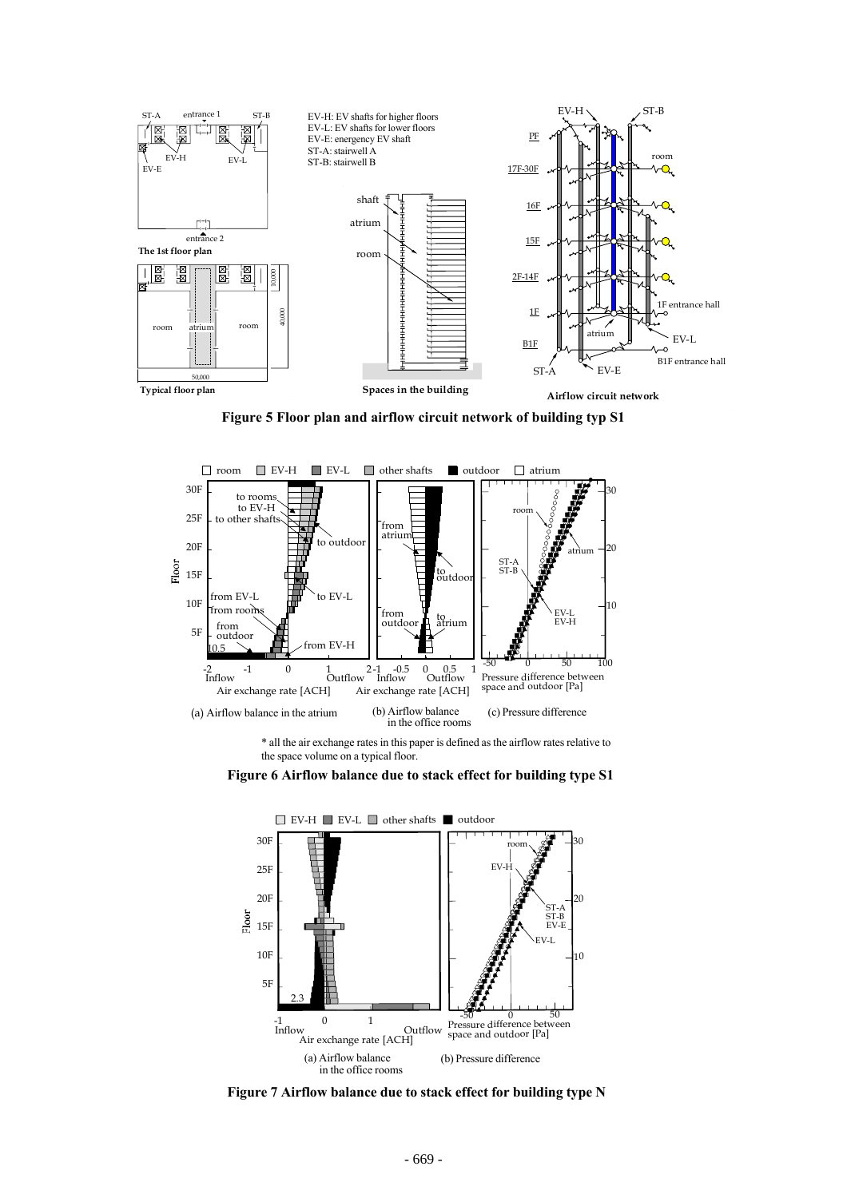

**Figure 5 Floor plan and airflow circuit network of building typ S1**



\* all the air exchange rates in this paper is defined as the airflow rates relative to the space volume on a typical floor.





**Figure 7 Airflow balance due to stack effect for building type N**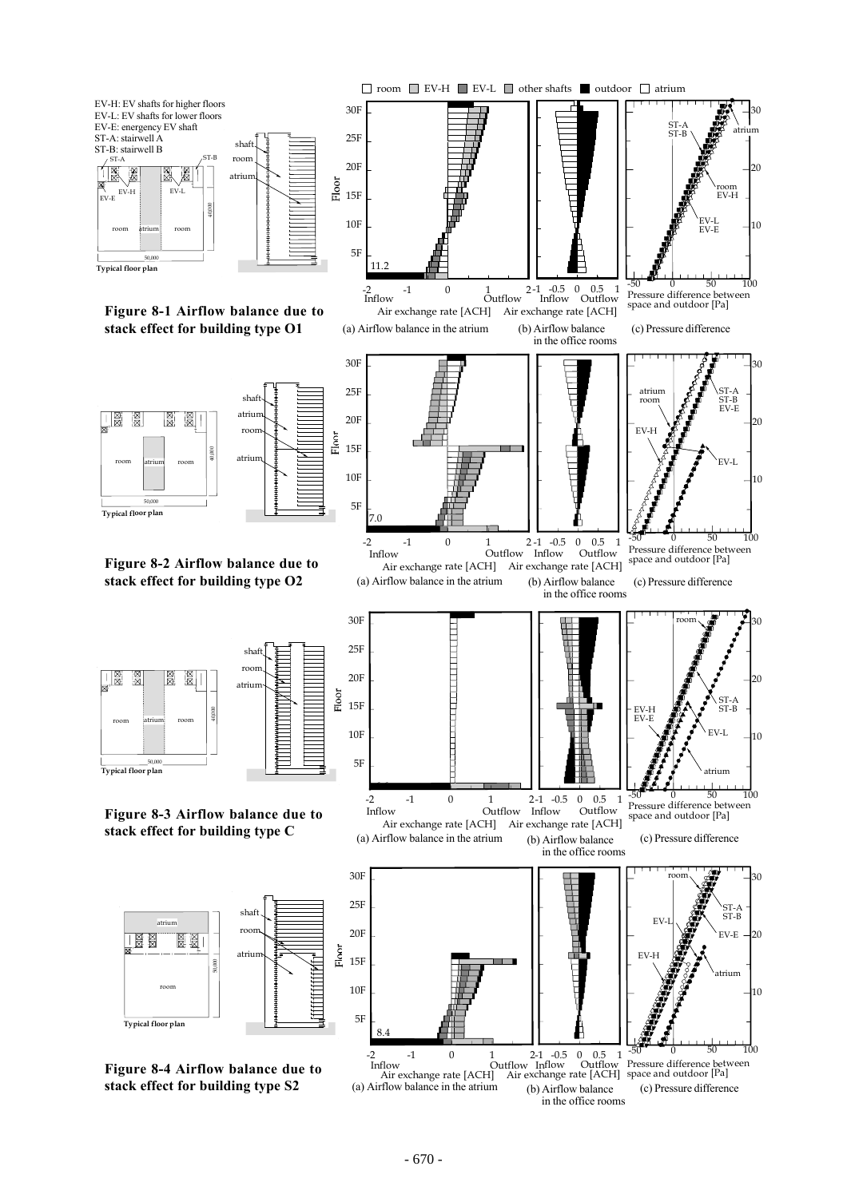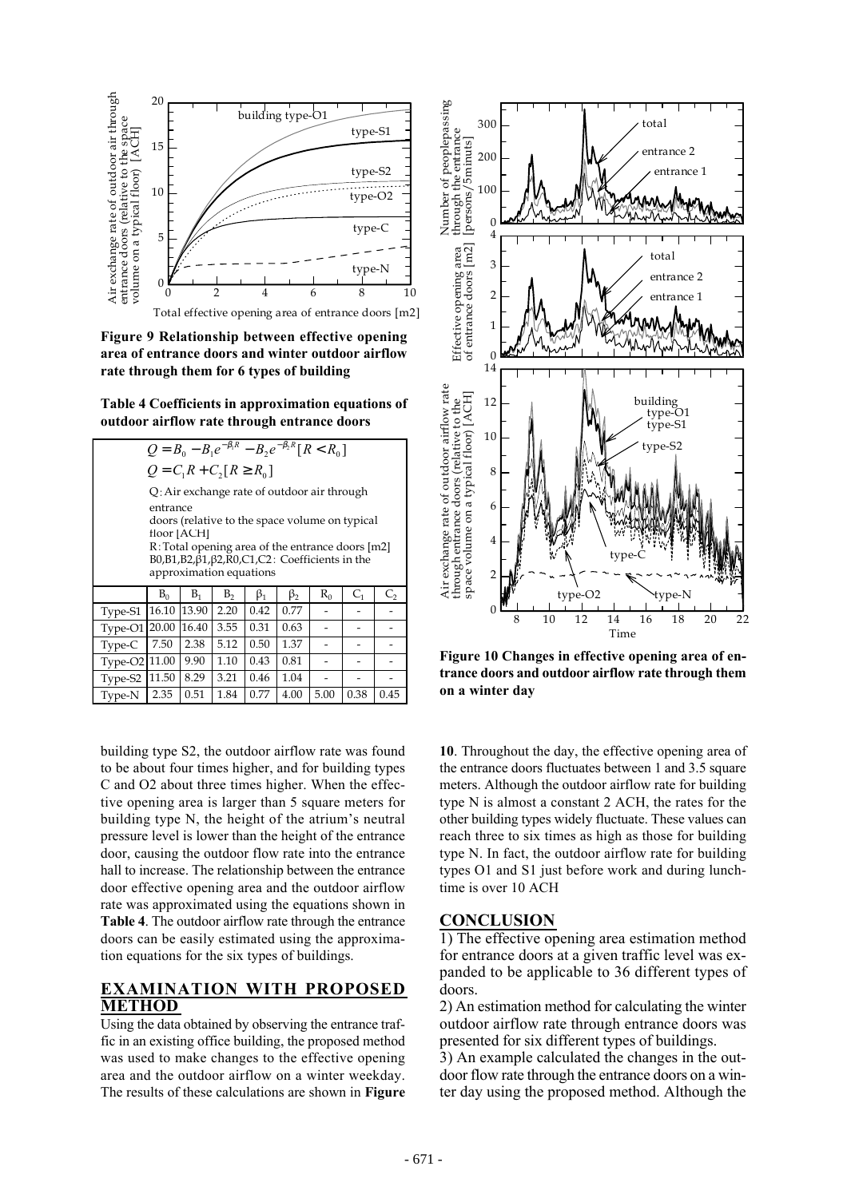

**Figure 9 Relationship between effective opening area of entrance doors and winter outdoor airflow rate through them for 6 types of building**

**Table 4 Coefficients in approximation equations of outdoor airflow rate through entrance doors**

| $Q = B_0 - B_1 e^{-\beta_1 R} - B_2 e^{-\beta_2 R} [R < R_0]$                             |       |       |      |           |           |       |         |      |  |
|-------------------------------------------------------------------------------------------|-------|-------|------|-----------|-----------|-------|---------|------|--|
| $Q = C_1 R + C_2 [R \ge R_0]$                                                             |       |       |      |           |           |       |         |      |  |
| Q: Air exchange rate of outdoor air through                                               |       |       |      |           |           |       |         |      |  |
| entrance                                                                                  |       |       |      |           |           |       |         |      |  |
| doors (relative to the space volume on typical<br>floor [ACH]                             |       |       |      |           |           |       |         |      |  |
| R: Total opening area of the entrance doors [m2]                                          |       |       |      |           |           |       |         |      |  |
| $B0, B1, B2, \beta1, \beta2, R0, C1, C2$ : Coefficients in the<br>approximation equations |       |       |      |           |           |       |         |      |  |
|                                                                                           |       |       |      |           |           |       |         |      |  |
|                                                                                           | $B_0$ | $B_1$ | B,   | $\beta_1$ | $\beta_2$ | $R_0$ | $C_{1}$ | C,   |  |
| Type-S1                                                                                   | 16.10 | 13.90 | 2.20 | 0.42      | 0.77      |       |         |      |  |
| Type-O1                                                                                   | 20.00 | 16.40 | 3.55 | 0.31      | 0.63      |       |         |      |  |
| Type-C                                                                                    | 7.50  | 2.38  | 5.12 | 0.50      | 1.37      |       |         |      |  |
| Type-O2 11.00                                                                             |       | 9.90  | 1.10 | 0.43      | 0.81      |       |         |      |  |
| Type-S2                                                                                   | 11.50 | 8.29  | 3.21 | 0.46      | 1.04      |       |         |      |  |
| Type-N                                                                                    | 2.35  | 0.51  | 1.84 | 0.77      | 4.00      | 5.00  | 0.38    | 0.45 |  |

building type S2, the outdoor airflow rate was found to be about four times higher, and for building types C and O2 about three times higher. When the effective opening area is larger than 5 square meters for building type N, the height of the atrium's neutral pressure level is lower than the height of the entrance door, causing the outdoor flow rate into the entrance hall to increase. The relationship between the entrance door effective opening area and the outdoor airflow rate was approximated using the equations shown in **Table 4**. The outdoor airflow rate through the entrance doors can be easily estimated using the approximation equations for the six types of buildings.

## **EXAMINATION WITH PROPOSED METHOD**

Using the data obtained by observing the entrance traffic in an existing office building, the proposed method was used to make changes to the effective opening area and the outdoor airflow on a winter weekday. The results of these calculations are shown in **Figure**



**Figure 10 Changes in effective opening area of entrance doors and outdoor airflow rate through them on a winter day**

**10**. Throughout the day, the effective opening area of the entrance doors fluctuates between 1 and 3.5 square meters. Although the outdoor airflow rate for building type N is almost a constant 2 ACH, the rates for the other building types widely fluctuate. These values can reach three to six times as high as those for building type N. In fact, the outdoor airflow rate for building types O1 and S1 just before work and during lunchtime is over 10 ACH

## **CONCLUSION**

1) The effective opening area estimation method for entrance doors at a given traffic level was expanded to be applicable to 36 different types of doors.

2) An estimation method for calculating the winter outdoor airflow rate through entrance doors was presented for six different types of buildings.

3) An example calculated the changes in the outdoor flow rate through the entrance doors on a winter day using the proposed method. Although the